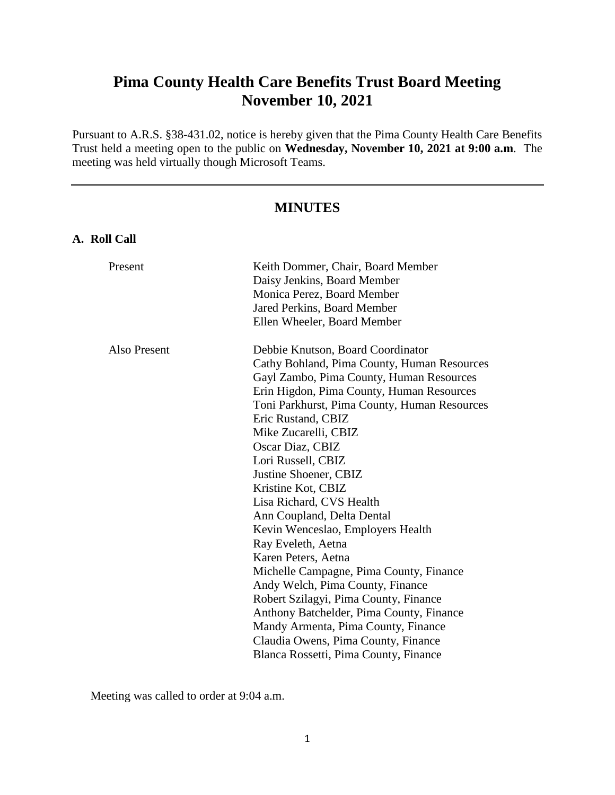# **Pima County Health Care Benefits Trust Board Meeting November 10, 2021**

Pursuant to A.R.S. §38-431.02, notice is hereby given that the Pima County Health Care Benefits Trust held a meeting open to the public on **Wednesday, November 10, 2021 at 9:00 a.m**. The meeting was held virtually though Microsoft Teams.

# **MINUTES**

# **A. Roll Call**

| Present      | Keith Dommer, Chair, Board Member<br>Daisy Jenkins, Board Member<br>Monica Perez, Board Member<br>Jared Perkins, Board Member                                                                                                                                                                                                                                                                                                                                                                                                                                                                                                                                                                                                                                                                                                          |
|--------------|----------------------------------------------------------------------------------------------------------------------------------------------------------------------------------------------------------------------------------------------------------------------------------------------------------------------------------------------------------------------------------------------------------------------------------------------------------------------------------------------------------------------------------------------------------------------------------------------------------------------------------------------------------------------------------------------------------------------------------------------------------------------------------------------------------------------------------------|
| Also Present | Ellen Wheeler, Board Member<br>Debbie Knutson, Board Coordinator<br>Cathy Bohland, Pima County, Human Resources<br>Gayl Zambo, Pima County, Human Resources<br>Erin Higdon, Pima County, Human Resources<br>Toni Parkhurst, Pima County, Human Resources<br>Eric Rustand, CBIZ<br>Mike Zucarelli, CBIZ<br>Oscar Diaz, CBIZ<br>Lori Russell, CBIZ<br>Justine Shoener, CBIZ<br>Kristine Kot, CBIZ<br>Lisa Richard, CVS Health<br>Ann Coupland, Delta Dental<br>Kevin Wenceslao, Employers Health<br>Ray Eveleth, Aetna<br>Karen Peters, Aetna<br>Michelle Campagne, Pima County, Finance<br>Andy Welch, Pima County, Finance<br>Robert Szilagyi, Pima County, Finance<br>Anthony Batchelder, Pima County, Finance<br>Mandy Armenta, Pima County, Finance<br>Claudia Owens, Pima County, Finance<br>Blanca Rossetti, Pima County, Finance |
|              |                                                                                                                                                                                                                                                                                                                                                                                                                                                                                                                                                                                                                                                                                                                                                                                                                                        |

Meeting was called to order at 9:04 a.m.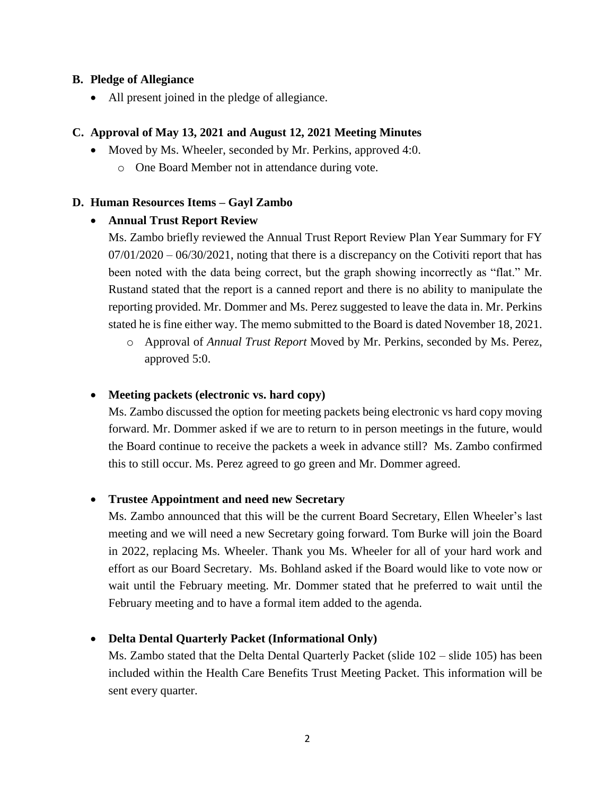# **B. Pledge of Allegiance**

All present joined in the pledge of allegiance.

# **C. Approval of May 13, 2021 and August 12, 2021 Meeting Minutes**

- Moved by Ms. Wheeler, seconded by Mr. Perkins, approved 4:0.
	- o One Board Member not in attendance during vote.

#### **D. Human Resources Items – Gayl Zambo**

#### **Annual Trust Report Review**

Ms. Zambo briefly reviewed the Annual Trust Report Review Plan Year Summary for FY  $07/01/2020 - 06/30/2021$ , noting that there is a discrepancy on the Cotiviti report that has been noted with the data being correct, but the graph showing incorrectly as "flat." Mr. Rustand stated that the report is a canned report and there is no ability to manipulate the reporting provided. Mr. Dommer and Ms. Perez suggested to leave the data in. Mr. Perkins stated he is fine either way. The memo submitted to the Board is dated November 18, 2021.

o Approval of *Annual Trust Report* Moved by Mr. Perkins, seconded by Ms. Perez, approved 5:0.

#### **Meeting packets (electronic vs. hard copy)**

Ms. Zambo discussed the option for meeting packets being electronic vs hard copy moving forward. Mr. Dommer asked if we are to return to in person meetings in the future, would the Board continue to receive the packets a week in advance still? Ms. Zambo confirmed this to still occur. Ms. Perez agreed to go green and Mr. Dommer agreed.

#### **Trustee Appointment and need new Secretary**

Ms. Zambo announced that this will be the current Board Secretary, Ellen Wheeler's last meeting and we will need a new Secretary going forward. Tom Burke will join the Board in 2022, replacing Ms. Wheeler. Thank you Ms. Wheeler for all of your hard work and effort as our Board Secretary. Ms. Bohland asked if the Board would like to vote now or wait until the February meeting. Mr. Dommer stated that he preferred to wait until the February meeting and to have a formal item added to the agenda.

# **Delta Dental Quarterly Packet (Informational Only)**

Ms. Zambo stated that the Delta Dental Quarterly Packet (slide 102 – slide 105) has been included within the Health Care Benefits Trust Meeting Packet. This information will be sent every quarter.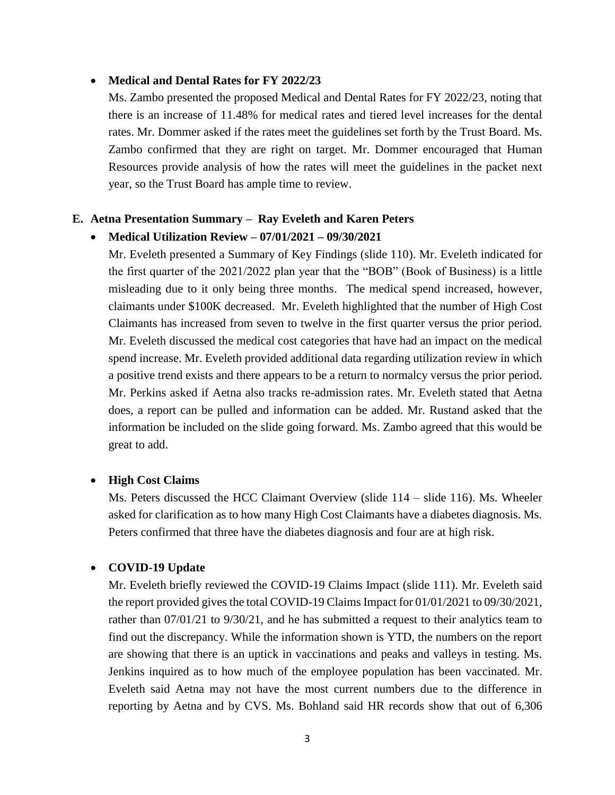#### **Medical and Dental Rates for FY 2022/23**

Ms. Zambo presented the proposed Medical and Dental Rates for FY 2022/23, noting that there is an increase of 11.48% for medical rates and tiered level increases for the dental rates. Mr. Dommer asked if the rates meet the guidelines set forth by the Trust Board. Ms. Zambo confirmed that they are right on target. Mr. Dommer encouraged that Human Resources provide analysis of how the rates will meet the guidelines in the packet next year, so the Trust Board has ample time to review.

#### **E. Aetna Presentation Summary – Ray Eveleth and Karen Peters**

## **Medical Utilization Review – 07/01/2021 – 09/30/2021**

Mr. Eveleth presented a Summary of Key Findings (slide 110). Mr. Eveleth indicated for the first quarter of the 2021/2022 plan year that the "BOB" (Book of Business) is a little misleading due to it only being three months. The medical spend increased, however, claimants under \$100K decreased. Mr. Eveleth highlighted that the number of High Cost Claimants has increased from seven to twelve in the first quarter versus the prior period. Mr. Eveleth discussed the medical cost categories that have had an impact on the medical spend increase. Mr. Eveleth provided additional data regarding utilization review in which a positive trend exists and there appears to be a return to normalcy versus the prior period. Mr. Perkins asked if Aetna also tracks re-admission rates. Mr. Eveleth stated that Aetna does, a report can be pulled and information can be added. Mr. Rustand asked that the information be included on the slide going forward. Ms. Zambo agreed that this would be great to add.

#### **High Cost Claims**

Ms. Peters discussed the HCC Claimant Overview (slide 114 – slide 116). Ms. Wheeler asked for clarification as to how many High Cost Claimants have a diabetes diagnosis. Ms. Peters confirmed that three have the diabetes diagnosis and four are at high risk.

#### **COVID-19 Update**

Mr. Eveleth briefly reviewed the COVID-19 Claims Impact (slide 111). Mr. Eveleth said the report provided gives the total COVID-19 Claims Impact for 01/01/2021 to 09/30/2021, rather than 07/01/21 to 9/30/21, and he has submitted a request to their analytics team to find out the discrepancy. While the information shown is YTD, the numbers on the report are showing that there is an uptick in vaccinations and peaks and valleys in testing. Ms. Jenkins inquired as to how much of the employee population has been vaccinated. Mr. Eveleth said Aetna may not have the most current numbers due to the difference in reporting by Aetna and by CVS. Ms. Bohland said HR records show that out of 6,306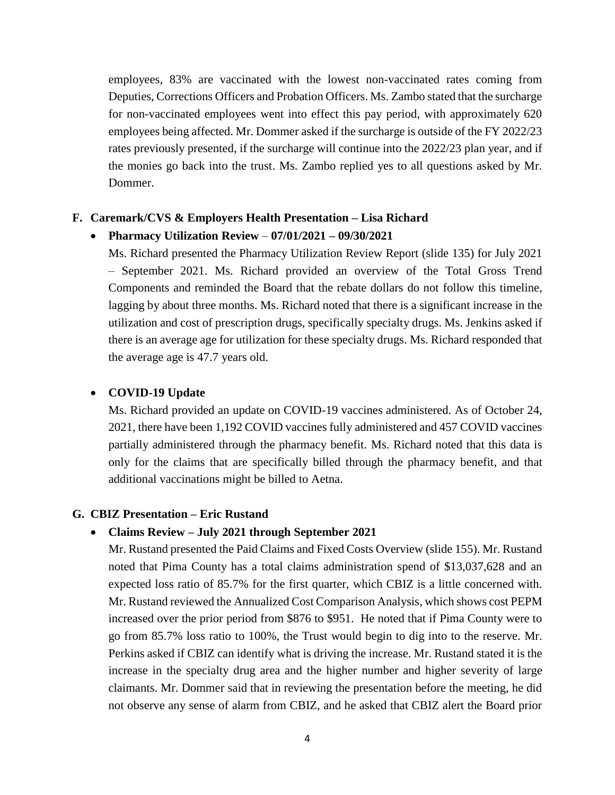employees, 83% are vaccinated with the lowest non-vaccinated rates coming from Deputies, Corrections Officers and Probation Officers. Ms. Zambo stated that the surcharge for non-vaccinated employees went into effect this pay period, with approximately 620 employees being affected. Mr. Dommer asked if the surcharge is outside of the FY 2022/23 rates previously presented, if the surcharge will continue into the 2022/23 plan year, and if the monies go back into the trust. Ms. Zambo replied yes to all questions asked by Mr. Dommer.

#### **F. Caremark/CVS & Employers Health Presentation – Lisa Richard**

#### **Pharmacy Utilization Review** – **07/01/2021 – 09/30/2021**

Ms. Richard presented the Pharmacy Utilization Review Report (slide 135) for July 2021 – September 2021. Ms. Richard provided an overview of the Total Gross Trend Components and reminded the Board that the rebate dollars do not follow this timeline, lagging by about three months. Ms. Richard noted that there is a significant increase in the utilization and cost of prescription drugs, specifically specialty drugs. Ms. Jenkins asked if there is an average age for utilization for these specialty drugs. Ms. Richard responded that the average age is 47.7 years old.

#### **COVID-19 Update**

Ms. Richard provided an update on COVID-19 vaccines administered. As of October 24, 2021, there have been 1,192 COVID vaccines fully administered and 457 COVID vaccines partially administered through the pharmacy benefit. Ms. Richard noted that this data is only for the claims that are specifically billed through the pharmacy benefit, and that additional vaccinations might be billed to Aetna.

#### **G. CBIZ Presentation – Eric Rustand**

#### **Claims Review – July 2021 through September 2021**

Mr. Rustand presented the Paid Claims and Fixed Costs Overview (slide 155). Mr. Rustand noted that Pima County has a total claims administration spend of \$13,037,628 and an expected loss ratio of 85.7% for the first quarter, which CBIZ is a little concerned with. Mr. Rustand reviewed the Annualized Cost Comparison Analysis, which shows cost PEPM increased over the prior period from \$876 to \$951. He noted that if Pima County were to go from 85.7% loss ratio to 100%, the Trust would begin to dig into to the reserve. Mr. Perkins asked if CBIZ can identify what is driving the increase. Mr. Rustand stated it is the increase in the specialty drug area and the higher number and higher severity of large claimants. Mr. Dommer said that in reviewing the presentation before the meeting, he did not observe any sense of alarm from CBIZ, and he asked that CBIZ alert the Board prior